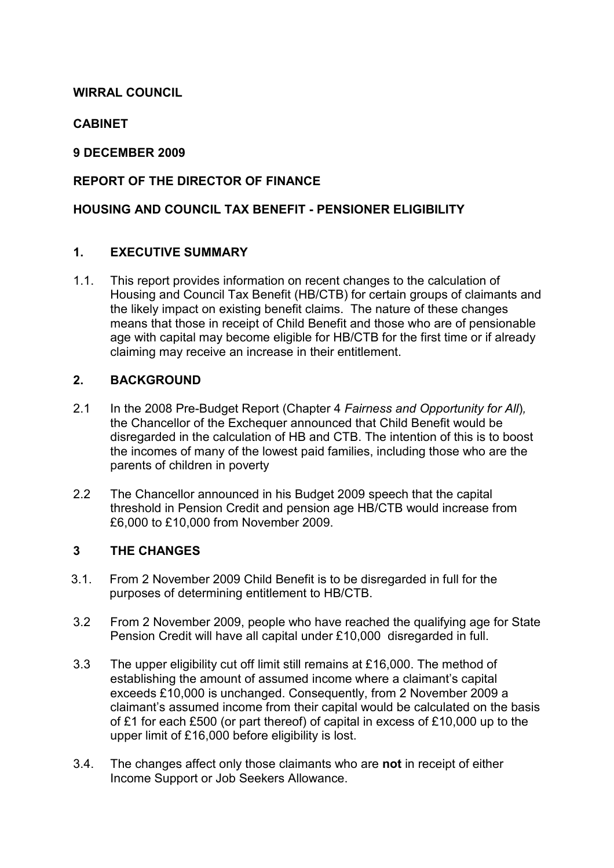## WIRRAL COUNCIL

# **CABINET**

### 9 DECEMBER 2009

## REPORT OF THE DIRECTOR OF FINANCE

### HOUSING AND COUNCIL TAX BENEFIT - PENSIONER ELIGIBILITY

### 1. EXECUTIVE SUMMARY

1.1. This report provides information on recent changes to the calculation of Housing and Council Tax Benefit (HB/CTB) for certain groups of claimants and the likely impact on existing benefit claims. The nature of these changes means that those in receipt of Child Benefit and those who are of pensionable age with capital may become eligible for HB/CTB for the first time or if already claiming may receive an increase in their entitlement.

### 2. BACKGROUND

- 2.1 In the 2008 Pre-Budget Report (Chapter 4 Fairness and Opportunity for All), the Chancellor of the Exchequer announced that Child Benefit would be disregarded in the calculation of HB and CTB. The intention of this is to boost the incomes of many of the lowest paid families, including those who are the parents of children in poverty
- 2.2 The Chancellor announced in his Budget 2009 speech that the capital threshold in Pension Credit and pension age HB/CTB would increase from £6,000 to £10,000 from November 2009.

### 3 THE CHANGES

- 3.1. From 2 November 2009 Child Benefit is to be disregarded in full for the purposes of determining entitlement to HB/CTB.
- 3.2 From 2 November 2009, people who have reached the qualifying age for State Pension Credit will have all capital under £10,000 disregarded in full.
- 3.3 The upper eligibility cut off limit still remains at £16,000. The method of establishing the amount of assumed income where a claimant's capital exceeds £10,000 is unchanged. Consequently, from 2 November 2009 a claimant's assumed income from their capital would be calculated on the basis of £1 for each £500 (or part thereof) of capital in excess of £10,000 up to the upper limit of £16,000 before eligibility is lost.
- 3.4. The changes affect only those claimants who are not in receipt of either Income Support or Job Seekers Allowance.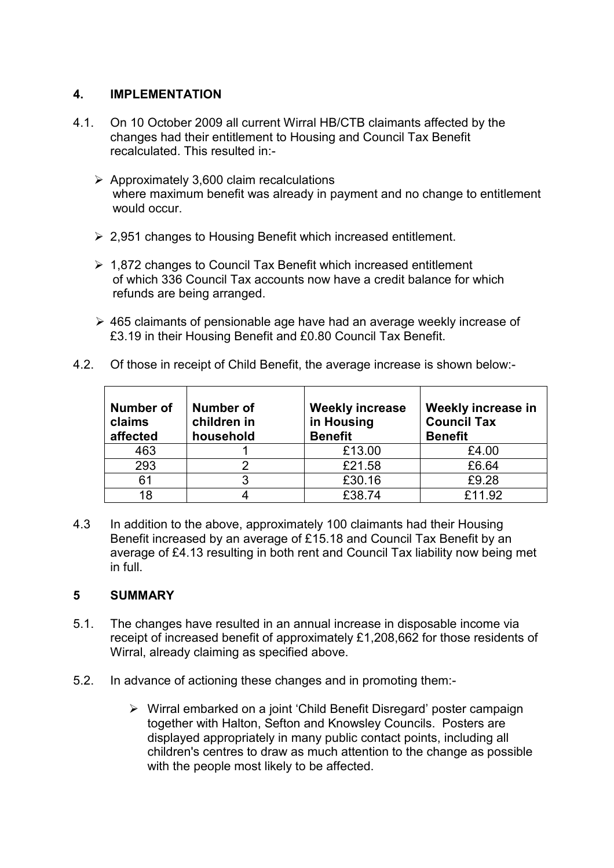#### 4. IMPLEMENTATION

- 4.1. On 10 October 2009 all current Wirral HB/CTB claimants affected by the changes had their entitlement to Housing and Council Tax Benefit recalculated. This resulted in:-
	- $\triangleright$  Approximately 3,600 claim recalculations where maximum benefit was already in payment and no change to entitlement would occur.
	- $\geq$  2,951 changes to Housing Benefit which increased entitlement.
	- $\geq 1.872$  changes to Council Tax Benefit which increased entitlement of which 336 Council Tax accounts now have a credit balance for which refunds are being arranged.
	- $\geq$  465 claimants of pensionable age have had an average weekly increase of £3.19 in their Housing Benefit and £0.80 Council Tax Benefit.
- 4.2. Of those in receipt of Child Benefit, the average increase is shown below:-

| Number of<br>claims<br>affected | Number of<br>children in<br>household | <b>Weekly increase</b><br>in Housing<br><b>Benefit</b> | Weekly increase in<br><b>Council Tax</b><br><b>Benefit</b> |
|---------------------------------|---------------------------------------|--------------------------------------------------------|------------------------------------------------------------|
| 463                             |                                       | £13.00                                                 | £4.00                                                      |
| 293                             |                                       | £21.58                                                 | £6.64                                                      |
| 61                              |                                       | £30.16                                                 | £9.28                                                      |
| 18                              |                                       | £38.74                                                 | £11.92                                                     |

4.3 In addition to the above, approximately 100 claimants had their Housing Benefit increased by an average of £15.18 and Council Tax Benefit by an average of £4.13 resulting in both rent and Council Tax liability now being met in full.

### 5 SUMMARY

- 5.1. The changes have resulted in an annual increase in disposable income via receipt of increased benefit of approximately £1,208,662 for those residents of Wirral, already claiming as specified above.
- 5.2. In advance of actioning these changes and in promoting them:-
	- Ø Wirral embarked on a joint 'Child Benefit Disregard' poster campaign together with Halton, Sefton and Knowsley Councils. Posters are displayed appropriately in many public contact points, including all children's centres to draw as much attention to the change as possible with the people most likely to be affected.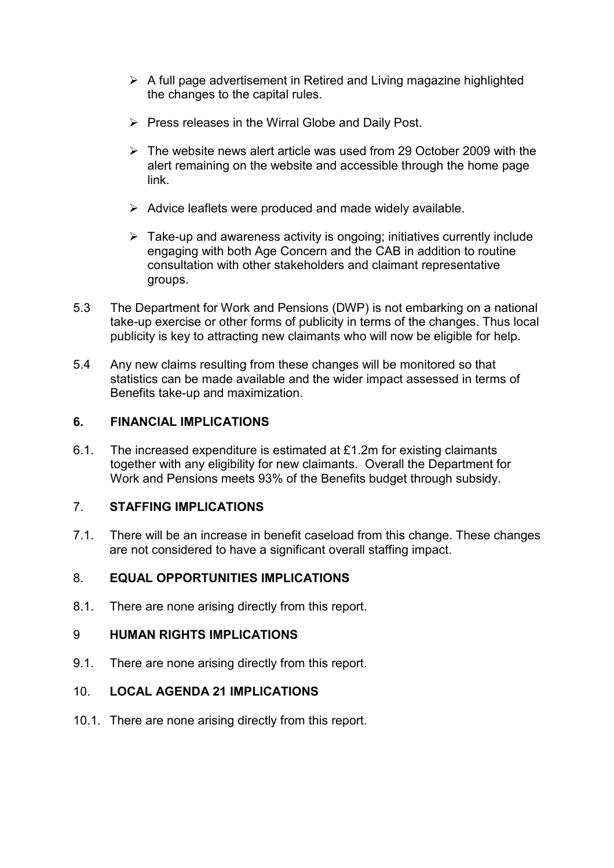- $\triangleright$  A full page advertisement in Retired and Living magazine highlighted the changes to the capital rules.
- $\triangleright$  Press releases in the Wirral Globe and Daily Post.
- $\geq$  The website news alert article was used from 29 October 2009 with the alert remaining on the website and accessible through the home page link.
- $\triangleright$  Advice leaflets were produced and made widely available.
- $\triangleright$  Take-up and awareness activity is ongoing; initiatives currently include engaging with both Age Concern and the CAB in addition to routine consultation with other stakeholders and claimant representative groups.
- 5.3 The Department for Work and Pensions (DWP) is not embarking on a national take-up exercise or other forms of publicity in terms of the changes. Thus local publicity is key to attracting new claimants who will now be eligible for help.
- 5.4 Any new claims resulting from these changes will be monitored so that statistics can be made available and the wider impact assessed in terms of Benefits take-up and maximization.

### 6. FINANCIAL IMPLICATIONS

6.1. The increased expenditure is estimated at £1.2m for existing claimants together with any eligibility for new claimants. Overall the Department for Work and Pensions meets 93% of the Benefits budget through subsidy.

### 7. STAFFING IMPLICATIONS

7.1. There will be an increase in benefit caseload from this change. These changes are not considered to have a significant overall staffing impact.

# 8. EQUAL OPPORTUNITIES IMPLICATIONS

8.1. There are none arising directly from this report.

### 9 HUMAN RIGHTS IMPLICATIONS

9.1. There are none arising directly from this report.

### 10. LOCAL AGENDA 21 IMPLICATIONS

10.1. There are none arising directly from this report.